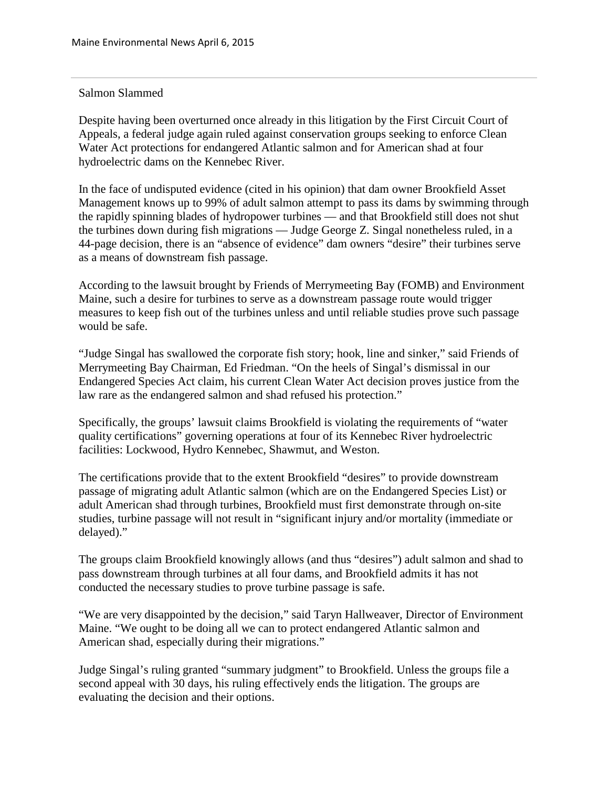## Salmon Slammed

Despite having been overturned once already in this litigation by the First Circuit Court of Appeals, a federal judge again ruled against conservation groups seeking to enforce Clean Water Act protections for endangered Atlantic salmon and for American shad at four hydroelectric dams on the Kennebec River.

In the face of undisputed evidence (cited in his opinion) that dam owner Brookfield Asset Management knows up to 99% of adult salmon attempt to pass its dams by swimming through the rapidly spinning blades of hydropower turbines — and that Brookfield still does not shut the turbines down during fish migrations — Judge George Z. Singal nonetheless ruled, in a 44-page decision, there is an "absence of evidence" dam owners "desire" their turbines serve as a means of downstream fish passage.

According to the lawsuit brought by Friends of Merrymeeting Bay (FOMB) and Environment Maine, such a desire for turbines to serve as a downstream passage route would trigger measures to keep fish out of the turbines unless and until reliable studies prove such passage would be safe.

"Judge Singal has swallowed the corporate fish story; hook, line and sinker," said Friends of Merrymeeting Bay Chairman, Ed Friedman. "On the heels of Singal's dismissal in our Endangered Species Act claim, his current Clean Water Act decision proves justice from the law rare as the endangered salmon and shad refused his protection."

Specifically, the groups' lawsuit claims Brookfield is violating the requirements of "water quality certifications" governing operations at four of its Kennebec River hydroelectric facilities: Lockwood, Hydro Kennebec, Shawmut, and Weston.

The certifications provide that to the extent Brookfield "desires" to provide downstream passage of migrating adult Atlantic salmon (which are on the Endangered Species List) or adult American shad through turbines, Brookfield must first demonstrate through on-site studies, turbine passage will not result in "significant injury and/or mortality (immediate or delayed)."

The groups claim Brookfield knowingly allows (and thus "desires") adult salmon and shad to pass downstream through turbines at all four dams, and Brookfield admits it has not conducted the necessary studies to prove turbine passage is safe.

"We are very disappointed by the decision," said Taryn Hallweaver, Director of Environment Maine. "We ought to be doing all we can to protect endangered Atlantic salmon and American shad, especially during their migrations."

Judge Singal's ruling granted "summary judgment" to Brookfield. Unless the groups file a second appeal with 30 days, his ruling effectively ends the litigation. The groups are evaluating the decision and their options.